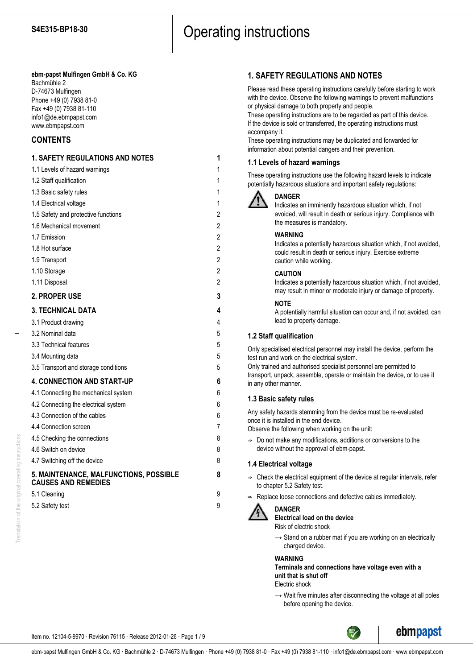# **ebm-papst Mulfingen GmbH & Co. KG**

Bachmühle 2 D-74673 Mulfingen Phone +49 (0) 7938 81-0 Fax +49 (0) 7938 81-110 info1@de.ebmpapst.com www.ebmpapst.com

# **CONTENTS**

# **1. SAFETY REGULATIONS AND NOTES 1** 1.1 Levels of hazard warnings 1 1.2 Staff qualification 1 1.3 Basic safety rules 1 1.4 Electrical voltage 1 1.5 Safety and protective functions 2 1.6 Mechanical movement 2 1.7 Emission 2 1.8 Hot surface 2 1.9 Transport 2 1.10 Storage 2 1.11 Disposal 2 **2. PROPER USE 3 3. TECHNICAL DATA 4** 3.1 Product drawing 4 3.2 Nominal data 5 3.3 Technical features 5 3.4 Mounting data 5 3.5 Transport and storage conditions 5 **4. CONNECTION AND START-UP 6** 4.1 Connecting the mechanical system 6 4.2 Connecting the electrical system 6 4.3 Connection of the cables 6 4.4 Connection screen 7 4.5 Checking the connections 8 4.6 Switch on device 8 4.7 Switching off the device 8 **5. MAINTENANCE, MALFUNCTIONS, POSSIBLE 8 CAUSES AND REMEDIES** 5.1 Cleaning 9 5.2 Safety test 9

# **1. SAFETY REGULATIONS AND NOTES**

Please read these operating instructions carefully before starting to work with the device. Observe the following warnings to prevent malfunctions or physical damage to both property and people.

These operating instructions are to be regarded as part of this device. If the device is sold or transferred, the operating instructions must accompany it.

These operating instructions may be duplicated and forwarded for information about potential dangers and their prevention.

# **1.1 Levels of hazard warnings**

These operating instructions use the following hazard levels to indicate potentially hazardous situations and important safety regulations:



# **DANGER**

Indicates an imminently hazardous situation which, if not avoided, will result in death or serious injury. Compliance with the measures is mandatory.

# **WARNING**

Indicates a potentially hazardous situation which, if not avoided, could result in death or serious injury. Exercise extreme caution while working.

# **CAUTION**

Indicates a potentially hazardous situation which, if not avoided, may result in minor or moderate injury or damage of property.

# **NOTE**

A potentially harmful situation can occur and, if not avoided, can lead to property damage.

# **1.2 Staff qualification**

Only specialised electrical personnel may install the device, perform the test run and work on the electrical system. Only trained and authorised specialist personnel are permitted to transport, unpack, assemble, operate or maintain the device, or to use it in any other manner.

# **1.3 Basic safety rules**

Any safety hazards stemming from the device must be re-evaluated once it is installed in the end device.

Observe the following when working on the unit:

 $\Rightarrow$  Do not make any modifications, additions or conversions to the device without the approval of ebm-papst.

# **1.4 Electrical voltage**

- $\Rightarrow$  Check the electrical equipment of the device at regular intervals, refer to chapter 5.2 Safety test.
- Replace loose connections and defective cables immediately.



# **DANGER**

**Electrical load on the device**

Risk of electric shock

 $\rightarrow$  Stand on a rubber mat if you are working on an electrically charged device.

#### **WARNING**

**Terminals and connections have voltage even with a unit that is shut off**

Electric shock

 $\rightarrow$  Wait five minutes after disconnecting the voltage at all poles before opening the device.

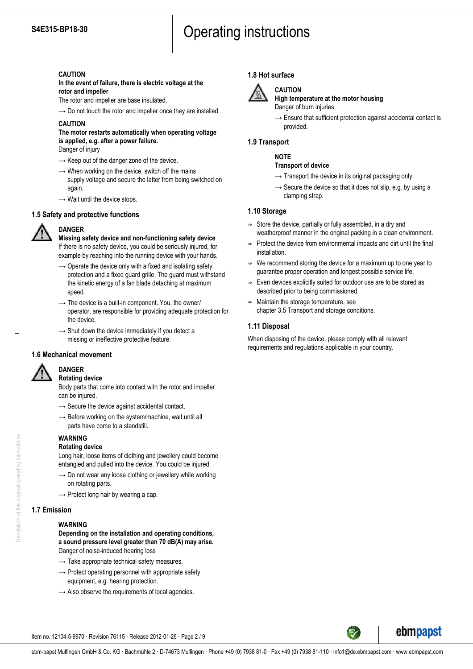# **CAUTION**

**In the event of failure, there is electric voltage at the rotor and impeller**

The rotor and impeller are base insulated.

 $\rightarrow$  Do not touch the rotor and impeller once they are installed.

# **CAUTION**

# **The motor restarts automatically when operating voltage is applied, e.g. after a power failure.**

Danger of injury

- $\rightarrow$  Keep out of the danger zone of the device.
- $\rightarrow$  When working on the device, switch off the mains supply voltage and secure the latter from being switched on again.
- $\rightarrow$  Wait until the device stops.

# **1.5 Safety and protective functions**



# **DANGER**

**Missing safety device and non-functioning safety device** If there is no safety device, you could be seriously injured, for example by reaching into the running device with your hands.

- $\rightarrow$  Operate the device only with a fixed and isolating safety protection and a fixed guard grille. The guard must withstand the kinetic energy of a fan blade detaching at maximum speed.
- $\rightarrow$  The device is a built-in component. You, the owner/ operator, are responsible for providing adequate protection for the device.
- $\rightarrow$  Shut down the device immediately if you detect a missing or ineffective protective feature.

# **1.6 Mechanical movement**



#### **DANGER Rotating device**

Body parts that come into contact with the rotor and impeller can be injured.

- $\rightarrow$  Secure the device against accidental contact.
- $\rightarrow$  Before working on the system/machine, wait until all parts have come to a standstill.

# **WARNING**

# **Rotating device**

Long hair, loose items of clothing and jewellery could become entangled and pulled into the device. You could be injured.

- $\rightarrow$  Do not wear any loose clothing or jewellery while working on rotating parts.
- $\rightarrow$  Protect long hair by wearing a cap.

# **1.7 Emission**

#### **WARNING**

**Depending on the installation and operating conditions, a sound pressure level greater than 70 dB(A) may arise.** Danger of noise-induced hearing loss

- $\rightarrow$  Take appropriate technical safety measures.
- $\rightarrow$  Protect operating personnel with appropriate safety equipment, e.g. hearing protection.
- $\rightarrow$  Also observe the requirements of local agencies.

# **1.8 Hot surface**



# **CAUTION**

**High temperature at the motor housing** Danger of burn injuries

 $\rightarrow$  Ensure that sufficient protection against accidental contact is provided.

# **1.9 Transport**

# **NOTE**

### **Transport of device**

- $\rightarrow$  Transport the device in its original packaging only.
- $\rightarrow$  Secure the device so that it does not slip, e.g. by using a clamping strap.

# **1.10 Storage**

- $\Rightarrow$  Store the device, partially or fully assembled, in a dry and weatherproof manner in the original packing in a clean environment.
- $\Rightarrow$  Protect the device from environmental impacts and dirt until the final installation.
- We recommend storing the device for a maximum up to one year to guarantee proper operation and longest possible service life.
- $\Rightarrow$  Even devices explicitly suited for outdoor use are to be stored as described prior to being commissioned.
- $\Rightarrow$  Maintain the storage temperature, see chapter 3.5 Transport and storage conditions.

# **1.11 Disposal**

When disposing of the device, please comply with all relevant requirements and regulations applicable in your country.



ebmpapst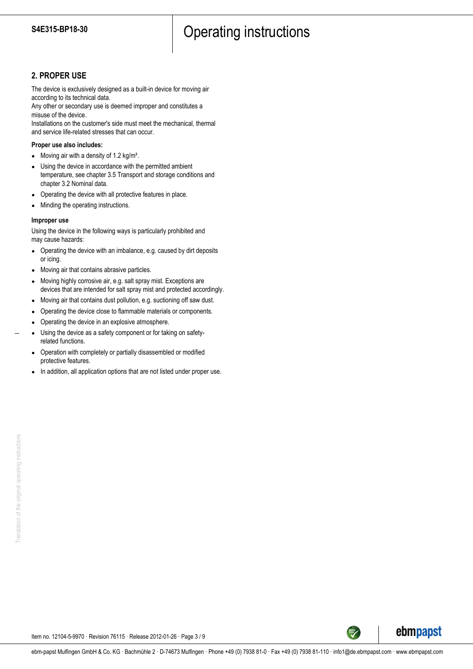# **2. PROPER USE**

The device is exclusively designed as a built-in device for moving air according to its technical data.

Any other or secondary use is deemed improper and constitutes a misuse of the device.

Installations on the customer's side must meet the mechanical, thermal and service life-related stresses that can occur.

### **Proper use also includes:**

- Moving air with a density of 1.2 kg/m<sup>3</sup>.
- Using the device in accordance with the permitted ambient temperature, see chapter 3.5 Transport and storage conditions and chapter 3.2 Nominal data.
- Operating the device with all protective features in place.
- Minding the operating instructions.

### **Improper use**

Using the device in the following ways is particularly prohibited and may cause hazards:

- Operating the device with an imbalance, e.g. caused by dirt deposits or icing.
- Moving air that contains abrasive particles.
- Moving highly corrosive air, e.g. salt spray mist. Exceptions are devices that are intended for salt spray mist and protected accordingly.
- Moving air that contains dust pollution, e.g. suctioning off saw dust.
- Operating the device close to flammable materials or components.
- Operating the device in an explosive atmosphere.
- Using the device as a safety component or for taking on safetyrelated functions.
- Operation with completely or partially disassembled or modified protective features.
- In addition, all application options that are not listed under proper use.

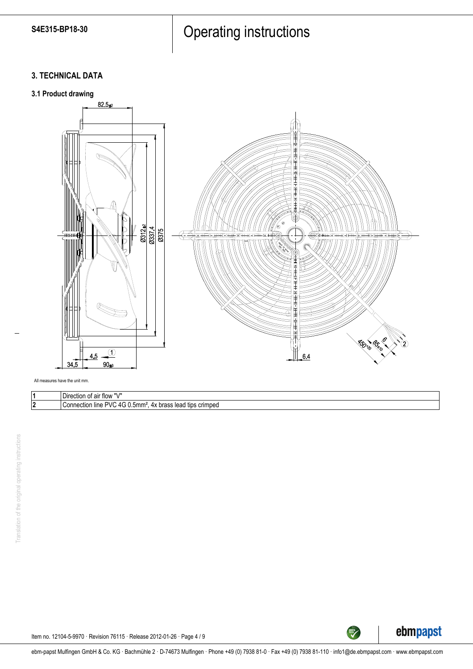# **3. TECHNICAL DATA**



| <br>Direction<br>t air flow<br>ັບເ                                                                                                                               |
|------------------------------------------------------------------------------------------------------------------------------------------------------------------|
| ווט<br>$\Lambda$<br>5mmª<br>tids<br>crim<br>nnectior<br>⊩lıne<br>$\sim$<br>nn<br>hro<br>. ped<br>$\sim$<br>· lead<br>™uas.<br>$\cdot$ .<br>.<br>$\sim$<br>$\sim$ |



Item no. 12104-5-9970 · Revision 76115 · Release 2012-01-26 · Page 4 / 9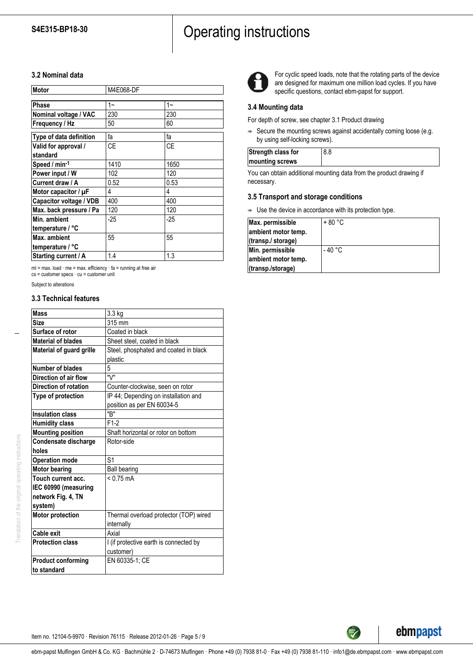# **3.2 Nominal data**

| Motor                     | M4E068-DF |       |
|---------------------------|-----------|-------|
|                           |           |       |
| Phase                     | $1 -$     | $1 -$ |
| Nominal voltage / VAC     | 230       | 230   |
| Frequency / Hz            | 50        | 60    |
| Type of data definition   | fa        | fa    |
| Valid for approval /      | <b>CE</b> | CF    |
| standard                  |           |       |
| Speed / min-1             | 1410      | 1650  |
| Power input / W           | 102       | 120   |
| Current draw / A          | 0.52      | 0.53  |
| Motor capacitor / $\mu$ F | 4         | 4     |
| Capacitor voltage / VDB   | 400       | 400   |
| Max. back pressure / Pa   | 120       | 120   |
| Min. ambient              | $-25$     | $-25$ |
| temperature / °C          |           |       |
| Max. ambient              | 55        | 55    |
| temperature / °C          |           |       |
| Starting current / A      | 1.4       | 1.3   |

ml = max. load · me = max. efficiency · fa = running at free air cs = customer specs · cu = customer unit

Subject to alterations

# **3.3 Technical features**

| <b>Mass</b><br>3.3 kg<br><b>Size</b><br>315 mm<br>Surface of rotor<br>Coated in black<br><b>Material of blades</b><br>Sheet steel, coated in black<br>Steel, phosphated and coated in black<br>Material of guard grille<br>plastic<br>5<br>Number of blades<br>"\/"<br>Direction of air flow<br>Direction of rotation<br>Counter-clockwise, seen on rotor<br>IP 44; Depending on installation and<br>Type of protection<br>position as per EN 60034-5<br>"R"<br>Insulation class<br>$F1-2$<br><b>Humidity class</b><br><b>Mounting position</b><br>Shaft horizontal or rotor on bottom<br>Condensate discharge<br>Rotor-side<br>holes<br>S <sub>1</sub><br><b>Operation mode</b><br><b>Motor bearing</b><br><b>Ball bearing</b><br>Touch current acc.<br>$< 0.75$ mA<br>IEC 60990 (measuring<br>network Fig. 4, TN<br>system)<br><b>Motor protection</b><br>Thermal overload protector (TOP) wired<br>internally<br>Cable exit<br>Axial<br><b>Protection class</b><br>I (if protective earth is connected by<br>customer)<br>EN 60335-1; CE<br><b>Product conforming</b><br>to standard |  |
|-----------------------------------------------------------------------------------------------------------------------------------------------------------------------------------------------------------------------------------------------------------------------------------------------------------------------------------------------------------------------------------------------------------------------------------------------------------------------------------------------------------------------------------------------------------------------------------------------------------------------------------------------------------------------------------------------------------------------------------------------------------------------------------------------------------------------------------------------------------------------------------------------------------------------------------------------------------------------------------------------------------------------------------------------------------------------------------------|--|
|                                                                                                                                                                                                                                                                                                                                                                                                                                                                                                                                                                                                                                                                                                                                                                                                                                                                                                                                                                                                                                                                                         |  |
|                                                                                                                                                                                                                                                                                                                                                                                                                                                                                                                                                                                                                                                                                                                                                                                                                                                                                                                                                                                                                                                                                         |  |
|                                                                                                                                                                                                                                                                                                                                                                                                                                                                                                                                                                                                                                                                                                                                                                                                                                                                                                                                                                                                                                                                                         |  |
|                                                                                                                                                                                                                                                                                                                                                                                                                                                                                                                                                                                                                                                                                                                                                                                                                                                                                                                                                                                                                                                                                         |  |
|                                                                                                                                                                                                                                                                                                                                                                                                                                                                                                                                                                                                                                                                                                                                                                                                                                                                                                                                                                                                                                                                                         |  |
|                                                                                                                                                                                                                                                                                                                                                                                                                                                                                                                                                                                                                                                                                                                                                                                                                                                                                                                                                                                                                                                                                         |  |
|                                                                                                                                                                                                                                                                                                                                                                                                                                                                                                                                                                                                                                                                                                                                                                                                                                                                                                                                                                                                                                                                                         |  |
|                                                                                                                                                                                                                                                                                                                                                                                                                                                                                                                                                                                                                                                                                                                                                                                                                                                                                                                                                                                                                                                                                         |  |
|                                                                                                                                                                                                                                                                                                                                                                                                                                                                                                                                                                                                                                                                                                                                                                                                                                                                                                                                                                                                                                                                                         |  |
|                                                                                                                                                                                                                                                                                                                                                                                                                                                                                                                                                                                                                                                                                                                                                                                                                                                                                                                                                                                                                                                                                         |  |
|                                                                                                                                                                                                                                                                                                                                                                                                                                                                                                                                                                                                                                                                                                                                                                                                                                                                                                                                                                                                                                                                                         |  |
|                                                                                                                                                                                                                                                                                                                                                                                                                                                                                                                                                                                                                                                                                                                                                                                                                                                                                                                                                                                                                                                                                         |  |
|                                                                                                                                                                                                                                                                                                                                                                                                                                                                                                                                                                                                                                                                                                                                                                                                                                                                                                                                                                                                                                                                                         |  |
|                                                                                                                                                                                                                                                                                                                                                                                                                                                                                                                                                                                                                                                                                                                                                                                                                                                                                                                                                                                                                                                                                         |  |
|                                                                                                                                                                                                                                                                                                                                                                                                                                                                                                                                                                                                                                                                                                                                                                                                                                                                                                                                                                                                                                                                                         |  |
|                                                                                                                                                                                                                                                                                                                                                                                                                                                                                                                                                                                                                                                                                                                                                                                                                                                                                                                                                                                                                                                                                         |  |
|                                                                                                                                                                                                                                                                                                                                                                                                                                                                                                                                                                                                                                                                                                                                                                                                                                                                                                                                                                                                                                                                                         |  |
|                                                                                                                                                                                                                                                                                                                                                                                                                                                                                                                                                                                                                                                                                                                                                                                                                                                                                                                                                                                                                                                                                         |  |
|                                                                                                                                                                                                                                                                                                                                                                                                                                                                                                                                                                                                                                                                                                                                                                                                                                                                                                                                                                                                                                                                                         |  |
|                                                                                                                                                                                                                                                                                                                                                                                                                                                                                                                                                                                                                                                                                                                                                                                                                                                                                                                                                                                                                                                                                         |  |
|                                                                                                                                                                                                                                                                                                                                                                                                                                                                                                                                                                                                                                                                                                                                                                                                                                                                                                                                                                                                                                                                                         |  |
|                                                                                                                                                                                                                                                                                                                                                                                                                                                                                                                                                                                                                                                                                                                                                                                                                                                                                                                                                                                                                                                                                         |  |
|                                                                                                                                                                                                                                                                                                                                                                                                                                                                                                                                                                                                                                                                                                                                                                                                                                                                                                                                                                                                                                                                                         |  |
|                                                                                                                                                                                                                                                                                                                                                                                                                                                                                                                                                                                                                                                                                                                                                                                                                                                                                                                                                                                                                                                                                         |  |
|                                                                                                                                                                                                                                                                                                                                                                                                                                                                                                                                                                                                                                                                                                                                                                                                                                                                                                                                                                                                                                                                                         |  |
|                                                                                                                                                                                                                                                                                                                                                                                                                                                                                                                                                                                                                                                                                                                                                                                                                                                                                                                                                                                                                                                                                         |  |
|                                                                                                                                                                                                                                                                                                                                                                                                                                                                                                                                                                                                                                                                                                                                                                                                                                                                                                                                                                                                                                                                                         |  |
|                                                                                                                                                                                                                                                                                                                                                                                                                                                                                                                                                                                                                                                                                                                                                                                                                                                                                                                                                                                                                                                                                         |  |
|                                                                                                                                                                                                                                                                                                                                                                                                                                                                                                                                                                                                                                                                                                                                                                                                                                                                                                                                                                                                                                                                                         |  |



For cyclic speed loads, note that the rotating parts of the device are designed for maximum one million load cycles. If you have specific questions, contact ebm-papst for support.

# **3.4 Mounting data**

For depth of screw, see chapter 3.1 Product drawing

 $\Rightarrow$  Secure the mounting screws against accidentally coming loose (e.g. by using self-locking screws).

| Strength class for | 8.8 |
|--------------------|-----|
| mounting screws    |     |
|                    |     |

You can obtain additional mounting data from the product drawing if necessary.

# **3.5 Transport and storage conditions**

 $\Rightarrow$  Use the device in accordance with its protection type.

| Max. permissible    | $+80 °C$ |
|---------------------|----------|
| ambient motor temp. |          |
| (transp./ storage)  |          |
| Min. permissible    | - 40 °C  |
| ambient motor temp. |          |
| (transp./storage)   |          |



TECH<sup>TECH</sup>

Item no. 12104-5-9970 · Revision 76115 · Release 2012-01-26 · Page 5 / 9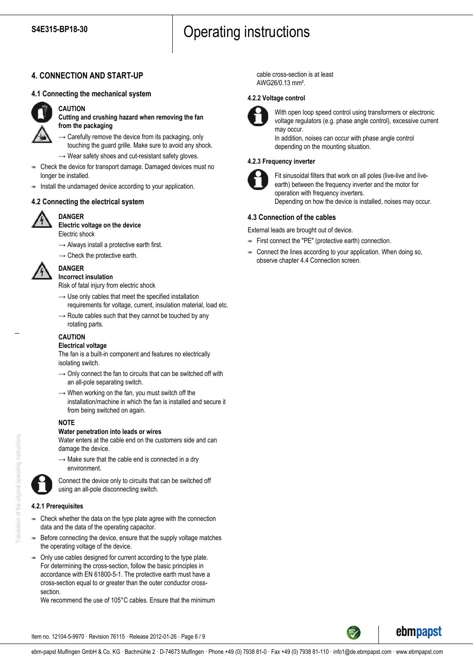# **4. CONNECTION AND START-UP**

# **4.1 Connecting the mechanical system**



# **CAUTION**

**Cutting and crushing hazard when removing the fan from the packaging**

- $\rightarrow$  Carefully remove the device from its packaging, only touching the guard grille. Make sure to avoid any shock.
- $\rightarrow$  Wear safety shoes and cut-resistant safety gloves.
- ; Check the device for transport damage. Damaged devices must no longer be installed.
- Install the undamaged device according to your application.

# **4.2 Connecting the electrical system**



#### **DANGER Electric voltage on the device**

Electric shock

- $\rightarrow$  Always install a protective earth first.
- $\rightarrow$  Check the protective earth.



#### **DANGER Incorrect insulation**

Risk of fatal injury from electric shock

- $\rightarrow$  Use only cables that meet the specified installation requirements for voltage, current, insulation material, load etc.
- $\rightarrow$  Route cables such that they cannot be touched by any rotating parts.
- **CAUTION**

# **Electrical voltage**

The fan is a built-in component and features no electrically isolating switch.

- $\rightarrow$  Only connect the fan to circuits that can be switched off with an all-pole separating switch.
- $\rightarrow$  When working on the fan, you must switch off the installation/machine in which the fan is installed and secure it from being switched on again.

# **NOTE**

#### **Water penetration into leads or wires**

Water enters at the cable end on the customers side and can damage the device.

 $\rightarrow$  Make sure that the cable end is connected in a dry environment.



Connect the device only to circuits that can be switched off using an all-pole disconnecting switch.

# **4.2.1 Prerequisites**

- ; Check whether the data on the type plate agree with the connection data and the data of the operating capacitor.
- Before connecting the device, ensure that the supply voltage matches the operating voltage of the device.
- Only use cables designed for current according to the type plate. For determining the cross-section, follow the basic principles in accordance with EN 61800-5-1. The protective earth must have a cross-section equal to or greater than the outer conductor crosssection.

We recommend the use of 105°C cables. Ensure that the minimum

cable cross-section is at least AWG26/0.13 mm².

### **4.2.2 Voltage control**



With open loop speed control using transformers or electronic voltage regulators (e.g. phase angle control), excessive current may occur.

In addition, noises can occur with phase angle control depending on the mounting situation.

### **4.2.3 Frequency inverter**



Fit sinusoidal filters that work on all poles (live-live and liveearth) between the frequency inverter and the motor for operation with frequency inverters. Depending on how the device is installed, noises may occur.

# **4.3 Connection of the cables**

External leads are brought out of device.

- $\Rightarrow$  First connect the "PE" (protective earth) connection.
- Connect the lines according to your application. When doing so, observe chapter 4.4 Connection screen.



ebmpapst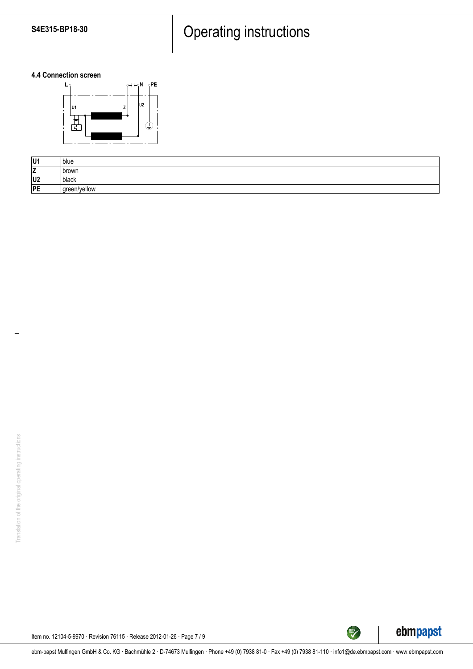# **4.4 Connection screen**



| U1             | blue         |
|----------------|--------------|
| -<br><u>_</u>  | ı brown      |
| U <sub>2</sub> | black        |
| PE             | green/yellow |



TECH

Item no. 12104-5-9970 · Revision 76115 · Release 2012-01-26 · Page 7 / 9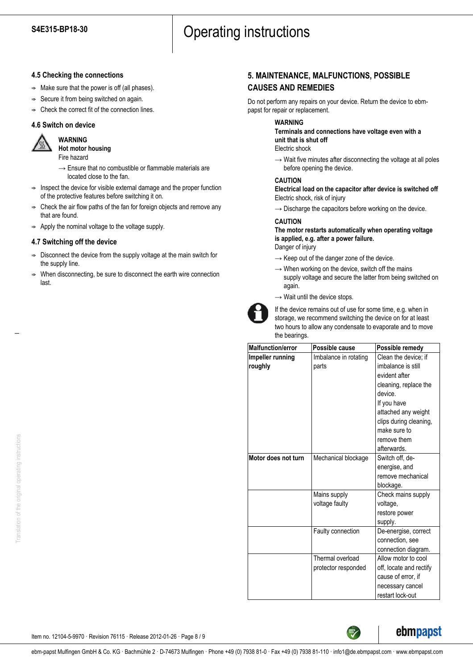### **4.5 Checking the connections**

- $\Rightarrow$  Make sure that the power is off (all phases).
- $\Rightarrow$  Secure it from being switched on again.
- $\Rightarrow$  Check the correct fit of the connection lines.

### **4.6 Switch on device**

**WARNING**



**Hot motor housing** Fire hazard

- $\rightarrow$  Ensure that no combustible or flammable materials are located close to the fan.
- $\Rightarrow$  Inspect the device for visible external damage and the proper function of the protective features before switching it on.
- ; Check the air flow paths of the fan for foreign objects and remove any that are found.
- $\Rightarrow$  Apply the nominal voltage to the voltage supply.

### **4.7 Switching off the device**

- $\Rightarrow$  Disconnect the device from the supply voltage at the main switch for the supply line.
- When disconnecting, be sure to disconnect the earth wire connection last.

# **5. MAINTENANCE, MALFUNCTIONS, POSSIBLE CAUSES AND REMEDIES**

Do not perform any repairs on your device. Return the device to ebmpapst for repair or replacement.

### **WARNING**

**Terminals and connections have voltage even with a unit that is shut off**

- Electric shock
- $\rightarrow$  Wait five minutes after disconnecting the voltage at all poles before opening the device.

#### **CAUTION**

**Electrical load on the capacitor after device is switched off** Electric shock, risk of injury

 $\rightarrow$  Discharge the capacitors before working on the device.

# **CAUTION**

**The motor restarts automatically when operating voltage is applied, e.g. after a power failure.** Danger of injury

- $\rightarrow$  Keep out of the danger zone of the device.
- $\rightarrow$  When working on the device, switch off the mains supply voltage and secure the latter from being switched on again.
- $\rightarrow$  Wait until the device stops.



If the device remains out of use for some time, e.g. when in storage, we recommend switching the device on for at least two hours to allow any condensate to evaporate and to move the bearings.

| <b>Malfunction/error</b> | Possible cause        | Possible remedy         |
|--------------------------|-----------------------|-------------------------|
| Impeller running         | Imbalance in rotating | Clean the device; if    |
| roughly                  | parts                 | imbalance is still      |
|                          |                       | evident after           |
|                          |                       | cleaning, replace the   |
|                          |                       | device.                 |
|                          |                       | If you have             |
|                          |                       | attached any weight     |
|                          |                       | clips during cleaning,  |
|                          |                       | make sure to            |
|                          |                       | remove them             |
|                          |                       | afterwards.             |
| Motor does not turn      | Mechanical blockage   | Switch off, de-         |
|                          |                       | energise, and           |
|                          |                       | remove mechanical       |
|                          |                       | blockage.               |
|                          | Mains supply          | Check mains supply      |
|                          | voltage faulty        | voltage,                |
|                          |                       | restore power           |
|                          |                       | supply.                 |
|                          | Faulty connection     | De-energise, correct    |
|                          |                       | connection, see         |
|                          |                       | connection diagram.     |
|                          | Thermal overload      | Allow motor to cool     |
|                          | protector responded   | off, locate and rectify |
|                          |                       | cause of error, if      |
|                          |                       | necessary cancel        |
|                          |                       | restart lock-out        |